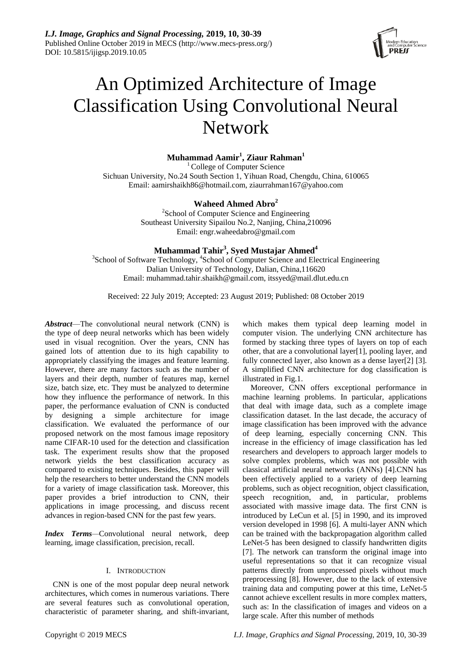

# An Optimized Architecture of Image Classification Using Convolutional Neural Network

**Muhammad Aamir<sup>1</sup> , Ziaur Rahman<sup>1</sup>**

<sup>1</sup> College of Computer Science Sichuan University, No.24 South Section 1, Yihuan Road, Chengdu, China, 610065 Email: [aamirshaikh86@hotmail.com,](mailto:aamirshaikh86@hotmail.com) ziaurrahman167@yahoo.com

## **Waheed Ahmed Abro<sup>2</sup>**

<sup>2</sup>School of Computer Science and Engineering Southeast University Sipailou No.2, Nanjing, China,210096 Email: [engr.waheedabro@gmail.com](mailto:engr.waheedabro@gmail.com)

## **Muhammad Tahir<sup>3</sup> , Syed Mustajar Ahmed<sup>4</sup>**

<sup>3</sup>School of Software Technology, <sup>4</sup>School of Computer Science and Electrical Engineering Dalian University of Technology, Dalian, China,116620 Email: muhammad.tahir.shaikh@gmail.com, [itssyed@mail.dlut.edu.cn](mailto:itssyed@mail.dlut.edu.cn)

Received: 22 July 2019; Accepted: 23 August 2019; Published: 08 October 2019

*Abstract*—The convolutional neural network (CNN) is the type of deep neural networks which has been widely used in visual recognition. Over the years, CNN has gained lots of attention due to its high capability to appropriately classifying the images and feature learning. However, there are many factors such as the number of layers and their depth, number of features map, kernel size, batch size, etc. They must be analyzed to determine how they influence the performance of network. In this paper, the performance evaluation of CNN is conducted by designing a simple architecture for image classification. We evaluated the performance of our proposed network on the most famous image repository name CIFAR-10 used for the detection and classification task. The experiment results show that the proposed network yields the best classification accuracy as compared to existing techniques. Besides, this paper will help the researchers to better understand the CNN models for a variety of image classification task. Moreover, this paper provides a brief introduction to CNN, their applications in image processing, and discuss recent advances in region-based CNN for the past few years.

*Index Terms—*Convolutional neural network, deep learning, image classification, precision, recall.

## I. INTRODUCTION

CNN is one of the most popular deep neural network architectures, which comes in numerous variations. There are several features such as convolutional operation, characteristic of parameter sharing, and shift-invariant,

which makes them typical deep learning model in computer vision. The underlying CNN architecture has formed by stacking three types of layers on top of each other, that are a convolutional layer[1], pooling layer, and fully connected layer, also known as a dense layer[2] [3]. A simplified CNN architecture for dog classification is illustrated in Fig.1.

Moreover, CNN offers exceptional performance in machine learning problems. In particular, applications that deal with image data, such as a complete image classification dataset. In the last decade, the accuracy of image classification has been improved with the advance of deep learning, especially concerning CNN. This increase in the efficiency of image classification has led researchers and developers to approach larger models to solve complex problems, which was not possible with classical artificial neural networks (ANNs) [4].CNN has been effectively applied to a variety of deep learning problems, such as object recognition, object classification, speech recognition, and, in particular, problems associated with massive image data. The first CNN is introduced by LeCun et al. [5] in 1990, and its improved version developed in 1998 [6]. A multi-layer ANN which can be trained with the backpropagation algorithm called LeNet-5 has been designed to classify handwritten digits [7]. The network can transform the original image into useful representations so that it can recognize visual patterns directly from unprocessed pixels without much preprocessing [8]. However, due to the lack of extensive training data and computing power at this time, LeNet-5 cannot achieve excellent results in more complex matters, such as: In the classification of images and videos on a large scale. After this number of methods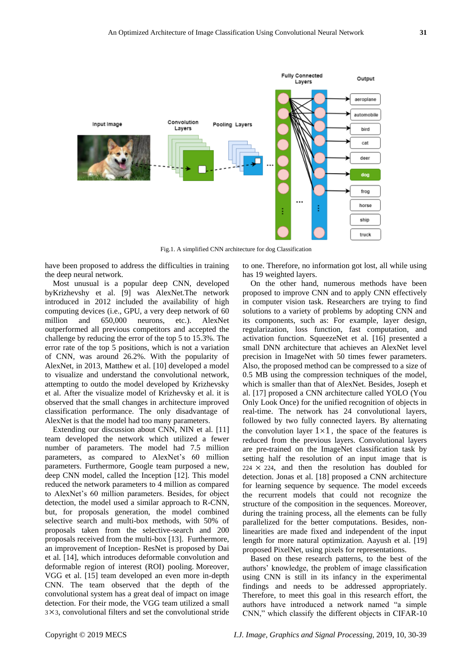

Fig.1. A simplified CNN architecture for dog Classification

have been proposed to address the difficulties in training the deep neural network.

Most unusual is a popular deep CNN, developed byKrizhevshy et al. [9] was AlexNet.The network introduced in 2012 included the availability of high computing devices (i.e., GPU, a very deep network of 60 million and 650,000 neurons, etc.). AlexNet outperformed all previous competitors and accepted the challenge by reducing the error of the top 5 to 15.3%. The error rate of the top 5 positions, which is not a variation of CNN, was around 26.2%. With the popularity of AlexNet, in 2013, Matthew et al. [10] developed a model to visualize and understand the convolutional network, attempting to outdo the model developed by Krizhevsky et al. After the visualize model of Krizhevsky et al. it is observed that the small changes in architecture improved classification performance. The only disadvantage of AlexNet is that the model had too many parameters.

Extending our discussion about CNN, NIN et al. [11] team developed the network which utilized a fewer number of parameters. The model had 7.5 million parameters, as compared to AlexNet's 60 million parameters. Furthermore, Google team purposed a new, deep CNN model, called the Inception [12]. This model reduced the network parameters to 4 million as compared to AlexNet's 60 million parameters. Besides, for object detection, the model used a similar approach to R-CNN, but, for proposals generation, the model combined selective search and multi-box methods, with 50% of proposals taken from the selective-search and 200 proposals received from the multi-box [13]. Furthermore, an improvement of Inception- ResNet is proposed by Dai et al. [14], which introduces deformable convolution and deformable region of interest (ROI) pooling. Moreover, VGG et al. [15] team developed an even more in-depth CNN. The team observed that the depth of the convolutional system has a great deal of impact on image detection. For their mode, the VGG team utilized a small 3×3, convolutional filters and set the convolutional stride to one. Therefore, no information got lost, all while using has 19 weighted layers.

On the other hand, numerous methods have been proposed to improve CNN and to apply CNN effectively in computer vision task. Researchers are trying to find solutions to a variety of problems by adopting CNN and its components, such as: For example, layer design, regularization, loss function, fast computation, and activation function. SqueezeNet et al. [16] presented a small DNN architecture that achieves an AlexNet level precision in ImageNet with 50 times fewer parameters. Also, the proposed method can be compressed to a size of 0.5 MB using the compression techniques of the model, which is smaller than that of AlexNet. Besides, Joseph et al. [17] proposed a CNN architecture called YOLO (You Only Look Once) for the unified recognition of objects in real-time. The network has 24 convolutional layers, followed by two fully connected layers. By alternating the convolution layer  $1 \times 1$ , the space of the features is reduced from the previous layers. Convolutional layers are pre-trained on the ImageNet classification task by setting half the resolution of an input image that is  $224 \times 224$ , and then the resolution has doubled for detection. Jonas et al. [18] proposed a CNN architecture for learning sequence by sequence. The model exceeds the recurrent models that could not recognize the structure of the composition in the sequences. Moreover, during the training process, all the elements can be fully parallelized for the better computations. Besides, nonlinearities are made fixed and independent of the input length for more natural optimization. Aayush et al. [19] proposed PixelNet, using pixels for representations.

Based on these research patterns, to the best of the authors' knowledge, the problem of image classification using CNN is still in its infancy in the experimental findings and needs to be addressed appropriately. Therefore, to meet this goal in this research effort, the authors have introduced a network named "a simple CNN," which classify the different objects in CIFAR-10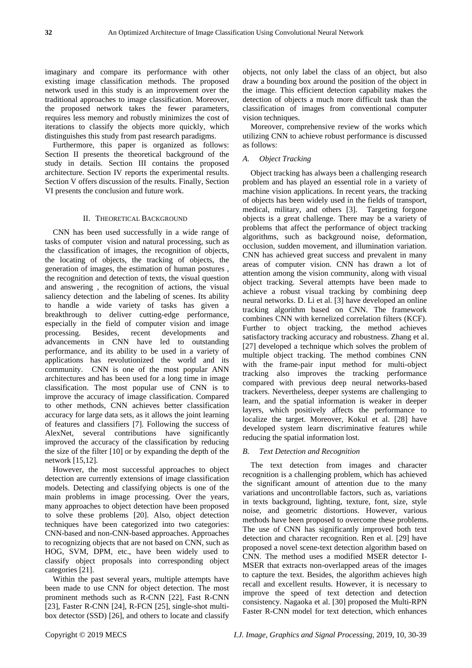imaginary and compare its performance with other existing image classification methods. The proposed network used in this study is an improvement over the traditional approaches to image classification. Moreover, the proposed network takes the fewer parameters, requires less memory and robustly minimizes the cost of iterations to classify the objects more quickly, which distinguishes this study from past research paradigms.

Furthermore, this paper is organized as follows: Section II presents the theoretical background of the study in details. Section III contains the proposed architecture. Section IV reports the experimental results. Section V offers discussion of the results. Finally, Section VI presents the conclusion and future work.

## II. THEORETICAL BACKGROUND

CNN has been used successfully in a wide range of tasks of computer vision and natural processing, such as the classification of images, the recognition of objects, the locating of objects, the tracking of objects, the generation of images, the estimation of human postures , the recognition and detection of texts, the visual question and answering , the recognition of actions, the visual saliency detection and the labeling of scenes. Its ability to handle a wide variety of tasks has given a breakthrough to deliver cutting-edge performance, especially in the field of computer vision and image processing. Besides, recent developments and advancements in CNN have led to outstanding performance, and its ability to be used in a variety of applications has revolutionized the world and its community. CNN is one of the most popular ANN architectures and has been used for a long time in image classification. The most popular use of CNN is to improve the accuracy of image classification. Compared to other methods, CNN achieves better classification accuracy for large data sets, as it allows the joint learning of features and classifiers [7]. Following the success of AlexNet, several contributions have significantly improved the accuracy of the classification by reducing the size of the filter [10] or by expanding the depth of the network [15,12].

However, the most successful approaches to object detection are currently extensions of image classification models. Detecting and classifying objects is one of the main problems in image processing. Over the years, many approaches to object detection have been proposed to solve these problems [20]. Also, object detection techniques have been categorized into two categories: CNN-based and non-CNN-based approaches. Approaches to recognizing objects that are not based on CNN, such as HOG, SVM, DPM, etc., have been widely used to classify object proposals into corresponding object categories [21].

Within the past several years, multiple attempts have been made to use CNN for object detection. The most prominent methods such as R-CNN [22], Fast R-CNN [23], Faster R-CNN [24], R-FCN [25], single-shot multibox detector (SSD) [26], and others to locate and classify objects, not only label the class of an object, but also draw a bounding box around the position of the object in the image. This efficient detection capability makes the detection of objects a much more difficult task than the classification of images from conventional computer vision techniques.

Moreover, comprehensive review of the works which utilizing CNN to achieve robust performance is discussed as follows:

## *A. Object Tracking*

Object tracking has always been a challenging research problem and has played an essential role in a variety of machine vision applications. In recent years, the tracking of objects has been widely used in the fields of transport, medical, military, and others [3]. Targeting forgone objects is a great challenge. There may be a variety of problems that affect the performance of object tracking algorithms, such as background noise, deformation, occlusion, sudden movement, and illumination variation. CNN has achieved great success and prevalent in many areas of computer vision. CNN has drawn a lot of attention among the vision community, along with visual object tracking. Several attempts have been made to achieve a robust visual tracking by combining deep neural networks. D. Li et al. [3] have developed an online tracking algorithm based on CNN. The framework combines CNN with kernelized correlation filters (KCF). Further to object tracking, the method achieves satisfactory tracking accuracy and robustness. Zhang et al. [27] developed a technique which solves the problem of multiple object tracking. The method combines CNN with the frame-pair input method for multi-object tracking also improves the tracking performance compared with previous deep neural networks-based trackers. Nevertheless, deeper systems are challenging to learn, and the spatial information is weaker in deeper layers, which positively affects the performance to localize the target. Moreover, Kokul et al. [28] have developed system learn discriminative features while reducing the spatial information lost.

## *B. Text Detection and Recognition*

The text detection from images and character recognition is a challenging problem, which has achieved the significant amount of attention due to the many variations and uncontrollable factors, such as, variations in texts background, lighting, texture, font, size, style noise, and geometric distortions. However, various methods have been proposed to overcome these problems. The use of CNN has significantly improved both text detection and character recognition. Ren et al. [29] have proposed a novel scene-text detection algorithm based on CNN. The method uses a modified MSER detector I-MSER that extracts non-overlapped areas of the images to capture the text. Besides, the algorithm achieves high recall and excellent results. However, it is necessary to improve the speed of text detection and detection consistency. Nagaoka et al. [30] proposed the Multi-RPN Faster R-CNN model for text detection, which enhances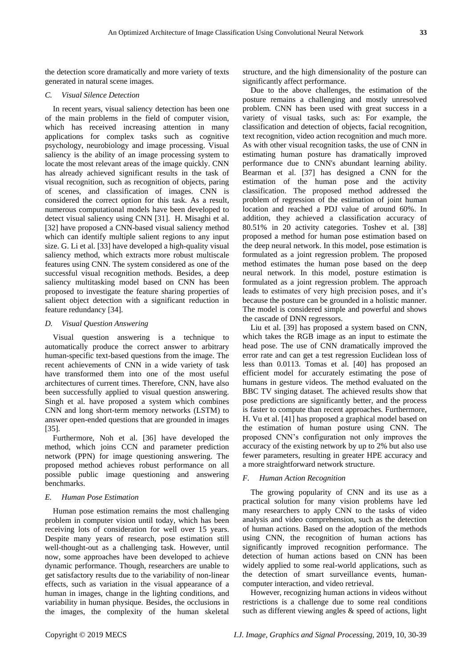the detection score dramatically and more variety of texts generated in natural scene images.

#### *C. Visual Silence Detection*

In recent years, visual saliency detection has been one of the main problems in the field of computer vision, which has received increasing attention in many applications for complex tasks such as cognitive psychology, neurobiology and image processing. Visual saliency is the ability of an image processing system to locate the most relevant areas of the image quickly. CNN has already achieved significant results in the task of visual recognition, such as recognition of objects, paring of scenes, and classification of images. CNN is considered the correct option for this task. As a result, numerous computational models have been developed to detect visual saliency using CNN [31]. H. Misaghi et al. [32] have proposed a CNN-based visual saliency method which can identify multiple salient regions to any input size. G. Li et al. [33] have developed a high-quality visual saliency method, which extracts more robust multiscale features using CNN. The system considered as one of the successful visual recognition methods. Besides, a deep saliency multitasking model based on CNN has been proposed to investigate the feature sharing properties of salient object detection with a significant reduction in feature redundancy [34].

#### *D. Visual Question Answering*

Visual question answering is a technique to automatically produce the correct answer to arbitrary human-specific text-based questions from the image. The recent achievements of CNN in a wide variety of task have transformed them into one of the most useful architectures of current times. Therefore, CNN, have also been successfully applied to visual question answering. Singh et al. have proposed a system which combines CNN and long short-term memory networks (LSTM) to answer open-ended questions that are grounded in images [35].

[Furthermore, Noh](http://cvlab.postech.ac.kr/~hyeonwoonoh) et al. [36] have developed the method, which joins CCN and parameter prediction network (PPN) for image questioning answering. The proposed method achieves robust performance on all possible public image questioning and answering benchmarks.

#### *E. Human Pose Estimation*

Human pose estimation remains the most challenging problem in computer vision until today, which has been receiving lots of consideration for well over 15 years. Despite many years of research, pose estimation still well-thought-out as a challenging task. However, until now, some approaches have been developed to achieve dynamic performance. Though, researchers are unable to get satisfactory results due to the variability of non-linear effects, such as variation in the visual appearance of a human in images, change in the lighting conditions, and variability in human physique. Besides, the occlusions in the images, the complexity of the human skeletal structure, and the high dimensionality of the posture can significantly affect performance.

Due to the above challenges, the estimation of the posture remains a challenging and mostly unresolved problem. CNN has been used with great success in a variety of visual tasks, such as: For example, the classification and detection of objects, facial recognition, text recognition, video action recognition and much more. As with other visual recognition tasks, the use of CNN in estimating human posture has dramatically improved performance due to CNN's abundant learning ability. Bearman et al. [37] has designed a CNN for the estimation of the human pose and the activity classification. The proposed method addressed the problem of regression of the estimation of joint human location and reached a PDJ value of around 60%. In addition, they achieved a classification accuracy of 80.51% in 20 activity categories. Toshev et al. [38] proposed a method for human pose estimation based on the deep neural network. In this model, pose estimation is formulated as a joint regression problem. The proposed method estimates the human pose based on the deep neural network. In this model, posture estimation is formulated as a joint regression problem. The approach leads to estimates of very high precision poses, and it's because the posture can be grounded in a holistic manner. The model is considered simple and powerful and shows the cascade of DNN regressors.

Liu et al. [39] has proposed a system based on CNN, which takes the RGB image as an input to estimate the head pose. The use of CNN dramatically improved the error rate and can get a test regression Euclidean loss of less than 0.0113. Tomas et al. [40] has proposed an efficient model for accurately estimating the pose of humans in gesture videos. The method evaluated on the BBC TV singing dataset. The achieved results show that pose predictions are significantly better, and the process is faster to compute than recent approaches. Furthermore, H. Vu et al. [41] has proposed a graphical model based on the estimation of human posture using CNN. The proposed CNN's configuration not only improves the accuracy of the existing network by up to 2% but also use fewer parameters, resulting in greater HPE accuracy and a more straightforward network structure.

## *F. Human Action Recognition*

The growing popularity of CNN and its use as a practical solution for many vision problems have led many researchers to apply CNN to the tasks of video analysis and video comprehension, such as the detection of human actions. Based on the adoption of the methods using CNN, the recognition of human actions has significantly improved recognition performance. The detection of human actions based on CNN has been widely applied to some real-world applications, such as the detection of smart surveillance events, humancomputer interaction, and video retrieval.

However, recognizing human actions in videos without restrictions is a challenge due to some real conditions such as different viewing angles & speed of actions, light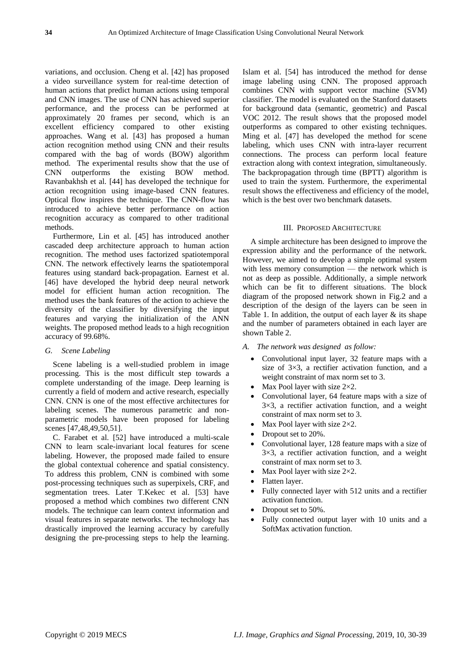variations, and occlusion. Cheng et al. [42] has proposed a video surveillance system for real-time detection of human actions that predict human actions using temporal and CNN images. The use of CNN has achieved superior performance, and the process can be performed at approximately 20 frames per second, which is an excellent efficiency compared to other existing approaches. Wang et al. [43] has proposed a human action recognition method using CNN and their results compared with the bag of words (BOW) algorithm method. The experimental results show that the use of CNN outperforms the existing BOW method. Ravanbakhsh et al. [44] has developed the technique for action recognition using image-based CNN features. Optical flow inspires the technique. The CNN-flow has introduced to achieve better performance on action recognition accuracy as compared to other traditional methods.

Furthermore, Lin et al. [45] has introduced another cascaded deep architecture approach to human action recognition. The method uses factorized spatiotemporal CNN. The network effectively learns the spatiotemporal features using standard back-propagation. Earnest et al. [46] have developed the hybrid deep neural network model for efficient human action recognition. The method uses the bank features of the action to achieve the diversity of the classifier by diversifying the input features and varying the initialization of the ANN weights. The proposed method leads to a high recognition accuracy of 99.68%.

#### *G. Scene Labeling*

Scene labeling is a well-studied problem in image processing. This is the most difficult step towards a complete understanding of the image. Deep learning is currently a field of modern and active research, especially CNN. CNN is one of the most effective architectures for labeling scenes. The numerous parametric and nonparametric models have been proposed for labeling scenes [47,48,49,50,51].

C. Farabet et al. [52] have introduced a multi-scale CNN to learn scale-invariant local features for scene labeling. However, the proposed made failed to ensure the global contextual coherence and spatial consistency. To address this problem, CNN is combined with some post-processing techniques such as superpixels, CRF, and segmentation trees. Later T.Kekec et al. [53] have proposed a method which combines two different CNN models. The technique can learn context information and visual features in separate networks. The technology has drastically improved the learning accuracy by carefully designing the pre-processing steps to help the learning.

Islam et al. [54] has introduced the method for dense image labeling using CNN. The proposed approach combines CNN with support vector machine (SVM) classifier. The model is evaluated on the Stanford datasets for background data (semantic, geometric) and Pascal VOC 2012. The result shows that the proposed model outperforms as compared to other existing techniques. Ming et al. [47] has developed the method for scene labeling, which uses CNN with intra-layer recurrent connections. The process can perform local feature extraction along with context integration, simultaneously. The backpropagation through time (BPTT) algorithm is used to train the system. Furthermore, the experimental result shows the effectiveness and efficiency of the model, which is the best over two benchmark datasets.

#### III. PROPOSED ARCHITECTURE

A simple architecture has been designed to improve the expression ability and the performance of the network. However, we aimed to develop a simple optimal system with less memory consumption — the network which is not as deep as possible. Additionally, a simple network which can be fit to different situations. The block diagram of the proposed network shown in Fig.2 and a description of the design of the layers can be seen in Table 1. In addition, the output of each layer  $\&$  its shape and the number of parameters obtained in each layer are shown Table 2.

- *A. The network was designed as follow:*
	- Convolutional input layer, 32 feature maps with a size of  $3\times3$ , a rectifier activation function, and a weight constraint of max norm set to 3.
	- Max Pool layer with size  $2 \times 2$ .
	- Convolutional layer, 64 feature maps with a size of  $3\times3$ , a rectifier activation function, and a weight constraint of max norm set to 3.
	- Max Pool layer with size  $2 \times 2$ .
	- Dropout set to 20%.
	- Convolutional layer, 128 feature maps with a size of  $3 \times 3$ , a rectifier activation function, and a weight constraint of max norm set to 3.
	- Max Pool layer with size  $2 \times 2$ .
	- Flatten layer.
	- Fully connected layer with 512 units and a rectifier activation function.
	- Dropout set to 50%.
	- Fully connected output layer with 10 units and a SoftMax activation function.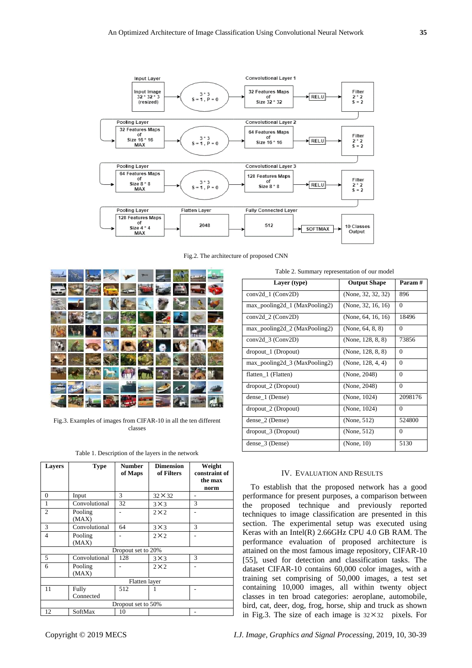

Fig.2. The architecture of proposed CNN



Fig.3. Examples of images from CIFAR-10 in all the ten different classes

Table 1. Description of the layers in the network

| <b>Layers</b>      | <b>Type</b>        | <b>Number</b><br>of Maps | <b>Dimension</b><br>of Filters | Weight<br>constraint of<br>the max<br>norm |  |
|--------------------|--------------------|--------------------------|--------------------------------|--------------------------------------------|--|
| $\Omega$           | Input              | 3                        | $32 \times 32$                 |                                            |  |
| 1                  | Convolutional      | 32                       | $3\times3$                     | 3                                          |  |
| $\mathfrak{D}$     | Pooling<br>(MAX)   |                          | $2\times2$                     |                                            |  |
| 3                  | Convolutional      | 64                       | $3 \times 3$                   | 3                                          |  |
| $\overline{4}$     | Pooling<br>(MAX)   |                          | $2 \times 2$                   |                                            |  |
| Dropout set to 20% |                    |                          |                                |                                            |  |
| 5                  | Convolutional      | 128                      | $3\times3$                     | 3                                          |  |
| 6                  | Pooling<br>(MAX)   |                          | $2\times2$                     |                                            |  |
| Flatten layer      |                    |                          |                                |                                            |  |
| 11                 | Fully<br>Connected | 512                      |                                |                                            |  |
| Dropout set to 50% |                    |                          |                                |                                            |  |
| 12                 | SoftMax            | 10                       |                                |                                            |  |

Table 2. Summary representation of our model

| Layer (type)                     | <b>Output Shape</b>         | Param #      |  |  |  |
|----------------------------------|-----------------------------|--------------|--|--|--|
| $conv2d_1 (Conv2D)$              | (None, 32, 32, 32)          | 896          |  |  |  |
| $max\_pooling2d_1 (MaxPooling2)$ | (None, 32, 16, 16)          | $\Omega$     |  |  |  |
| $conv2d_2$ (Conv2D)              | (None, $64$ , $16$ , $16$ ) | 18496        |  |  |  |
| max_pooling2d_2 (MaxPooling2)    | (None, $64, 8, 8$ )         | $\Omega$     |  |  |  |
| $conv2d_3$ (Conv2D)              | (None, 128, 8, 8)           | 73856        |  |  |  |
| dropout_1 (Dropout)              | (None, 128, 8, 8)           | $\mathbf{0}$ |  |  |  |
| $max\_pooling2d_3 (MaxPooling2)$ | (None, $128, 4, 4$ )        | $\theta$     |  |  |  |
| flatten_1 (Flatten)              | (None, 2048)                | $\theta$     |  |  |  |
| dropout_2 (Dropout)              | (None, 2048)                | $\theta$     |  |  |  |
| dense_1 (Dense)                  | (None, 1024)                | 2098176      |  |  |  |
| dropout_2 (Dropout)              | (None, 1024)                | $\Omega$     |  |  |  |
| dense_2 (Dense)                  | (None, 512)                 | 524800       |  |  |  |
| dropout_3 (Dropout)              | (None, 512)                 | $\Omega$     |  |  |  |
| dense $-3$ (Dense)               | (None, 10)                  | 5130         |  |  |  |

## IV. EVALUATION AND RESULTS

To establish that the proposed network has a good performance for present purposes, a comparison between the proposed technique and previously reported techniques to image classification are presented in this section. The experimental setup was executed using Keras with an Intel(R) 2.66GHz CPU 4.0 GB RAM. The performance evaluation of proposed architecture is attained on the most famous image repository, CIFAR-10 [55], used for detection and classification tasks. The dataset CIFAR-10 contains 60,000 color images, with a training set comprising of 50,000 images, a test set containing 10,000 images, all within twenty object classes in ten broad categories: aeroplane, automobile, bird, cat, deer, dog, frog, horse, ship and truck as shown in Fig.3. The size of each image is  $32 \times 32$  pixels. For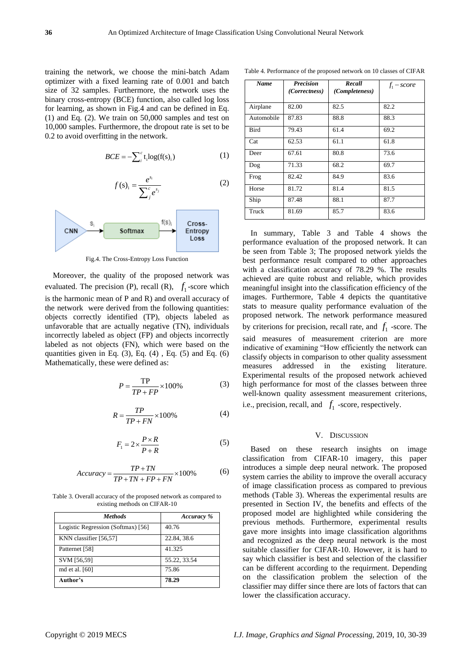training the network, we choose the mini-batch Adam optimizer with a fixed learning rate of 0.001 and batch size of 32 samples. Furthermore, the network uses the binary cross-entropy (BCE) function, also called log loss for learning, as shown in Fig.4 and can be defined in Eq. (1) and Eq. (2). We train on 50,000 samples and test on 10,000 samples. Furthermore, the dropout rate is set to be 0.2 to avoid overfitting in the network.

$$
BCE = -\sum_{i}^{c} t_i \log(f(s)_i)
$$
 (1)

$$
f(s)_i = \frac{e^{s_i}}{\sum_{j}^{c} e^{s_j}}
$$
 (2)



Fig.4. The Cross-Entropy Loss Function

Moreover, the quality of the proposed network was evaluated. The precision (P), recall (R),  $f_1$ -score which is the harmonic mean of P and R) and overall accuracy of the network were derived from the following quantities: objects correctly identified (TP), objects labeled as unfavorable that are actually negative (TN), individuals incorrectly labeled as object (FP) and objects incorrectly labeled as not objects (FN), which were based on the quantities given in Eq.  $(3)$ , Eq.  $(4)$ , Eq.  $(5)$  and Eq.  $(6)$ Mathematically, these were defined as:

$$
P = \frac{\text{TP}}{TP + FP} \times 100\%
$$
 (3)

$$
R = \frac{TP}{TP + FN} \times 100\%
$$
 (4)

$$
F_1 = 2 \times \frac{P \times R}{P + R} \tag{5}
$$

$$
Accuracy = \frac{TP + TN}{TP + TN + FP + FN} \times 100\% \tag{6}
$$

Table 3. Overall accuracy of the proposed network as compared to existing methods on CIFAR-10

| <b>Methods</b>                     | Accuracy %   |
|------------------------------------|--------------|
| Logistic Regression (Softmax) [56] | 40.76        |
| KNN classifier [56,57]             | 22.84, 38.6  |
| Patternet [58]                     | 41.325       |
| SVM [56,59]                        | 55.22, 33.54 |
| md et al. [60]                     | 75.86        |
| Author's                           | 78.29        |

Table 4. Performance of the proposed network on 10 classes of CIFAR

| Name       | <b>Precision</b><br>(Correctness) | Recall<br>(Completeness) | $f_1$ – score |
|------------|-----------------------------------|--------------------------|---------------|
| Airplane   | 82.00                             | 82.5                     | 82.2          |
| Automobile | 87.83                             | 88.8                     | 88.3          |
| Bird       | 79.43                             | 61.4                     | 69.2          |
| Cat        | 62.53                             | 61.1                     | 61.8          |
| Deer       | 67.61                             | 80.8                     | 73.6          |
| Dog        | 71.33                             | 68.2                     | 69.7          |
| Frog       | 82.42                             | 84.9                     | 83.6          |
| Horse      | 81.72                             | 81.4                     | 81.5          |
| Ship       | 87.48                             | 88.1                     | 87.7          |
| Truck      | 81.69                             | 85.7                     | 83.6          |

In summary, Table 3 and Table 4 shows the performance evaluation of the proposed network. It can be seen from Table 3; The proposed network yields the best performance result compared to other approaches with a classification accuracy of 78.29 %. The results achieved are quite robust and reliable, which provides meaningful insight into the classification efficiency of the images. Furthermore, Table 4 depicts the quantitative stats to measure quality performance evaluation of the proposed network. The network performance measured by criterions for precision, recall rate, and  $f_1$  -score. The said measures of measurement criterion are more indicative of examining "How efficiently the network can classify objects in comparison to other quality assessment measures addressed in the existing literature. Experimental results of the proposed network achieved high performance for most of the classes between three well-known quality assessment measurement criterions, i.e., precision, recall, and  $f_1$  -score, respectively.

## V. DISCUSSION

Based on these research insights on image classification from CIFAR-10 imagery, this paper introduces a simple deep neural network. The proposed system carries the ability to improve the overall accuracy of image classification process as compared to previous methods (Table 3). Whereas the experimental results are presented in Section IV, the benefits and effects of the proposed model are highlighted while considering the previous methods. Furthermore, experimental results gave more insights into image classification algorithms and recognized as the deep neural network is the most suitable classifier for CIFAR-10. However, it is hard to say which classifier is best and selection of the classifier can be different according to the requirment. Depending on the classification problem the selection of the classifier may differ since there are lots of factors that can lower the classification accuracy.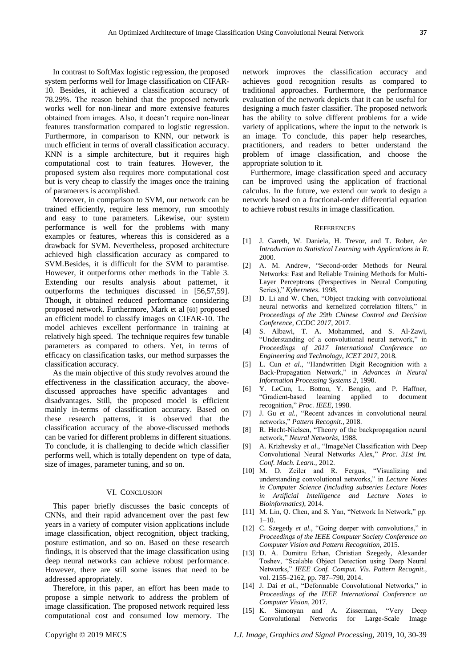In contrast to SoftMax logistic regression, the proposed system performs well for Image classification on CIFAR-10. Besides, it achieved a classification accuracy of 78.29%. The reason behind that the proposed network works well for non-linear and more extensive features obtained from images. Also, it doesn't require non-linear features transformation compared to logistic regression. Furthermore, in comparison to KNN, our network is much efficient in terms of overall classification accuracy. KNN is a simple architecture, but it requires high computational cost to train features. However, the proposed system also requires more computational cost but is very cheap to classify the images once the training of paramerers is acomplished.

Moreover, in comparison to SVM, our network can be trained efficiently, require less memory, run smoothly and easy to tune parameters. Likewise, our system performance is well for the problems with many examples or features, whereas this is considered as a drawback for SVM. Nevertheless, proposed architecture achieved high classification accuracy as compared to SVM.Besides, it is difficult for the SVM to paramtise. However, it outperforms other methods in the Table 3. Extending our results analysis about patternet, it outperforms the techniques discussed in [56,57,59]. Though, it obtained reduced performance considering proposed network. Furthermore, Mark et al [60] proposed an efficient model to classify images on CIFAR-10. The model achieves excellent performance in training at relatively high speed. The technique requires few tunable parameters as compared to others. Yet, in terms of efficacy on classification tasks, our method surpasses the classification accuracy.

As the main objective of this study revolves around the effectiveness in the classification accuracy, the abovediscussed approaches have specific advantages and disadvantages. Still, the proposed model is efficient mainly in-terms of classification accuracy. Based on these research patterns, it is observed that the classification accuracy of the above-discussed methods can be varied for different problems in different situations. To conclude, it is challenging to decide which classifier performs well, which is totally dependent on type of data, size of images, parameter tuning, and so on.

#### VI. CONCLUSION

This paper briefly discusses the basic concepts of CNNs, and their rapid advancement over the past few years in a variety of computer vision applications include image classification, object recognition, object tracking, posture estimation, and so on. Based on these research findings, it is observed that the image classification using deep neural networks can achieve robust performance. However, there are still some issues that need to be addressed appropriately.

Therefore, in this paper, an effort has been made to propose a simple network to address the problem of image classification. The proposed network required less computational cost and consumed low memory. The network improves the classification accuracy and achieves good recognition results as compared to traditional approaches. Furthermore, the performance evaluation of the network depicts that it can be useful for designing a much faster classifier. The proposed network has the ability to solve different problems for a wide variety of applications, where the input to the network is an image. To conclude, this paper help researches, practitioners, and readers to better understand the problem of image classification, and choose the appropriate solution to it.

Furthermore, image classification speed and accuracy can be improved using the application of fractional calculus. In the future, we extend our work to design a network based on a fractional-order differential equation to achieve robust results in image classification.

#### **REFERENCES**

- [1] J. Gareth, W. Daniela, H. Trevor, and T. Rober, *An Introduction to Statistical Learning with Applications in R*. 2000.
- [2] A. M. Andrew, "Second-order Methods for Neural Networks: Fast and Reliable Training Methods for Multi-Layer Perceptrons (Perspectives in Neural Computing Series)," *Kybernetes*. 1998.
- [3] D. Li and W. Chen, "Object tracking with convolutional neural networks and kernelized correlation filters," in *Proceedings of the 29th Chinese Control and Decision Conference, CCDC 2017*, 2017.
- [4] S. Albawi, T. A. Mohammed, and S. Al-Zawi, "Understanding of a convolutional neural network," in *Proceedings of 2017 International Conference on Engineering and Technology, ICET 2017*, 2018.
- [5] L. Cun *et al.*, "Handwritten Digit Recognition with a Back-Propagation Network," in *Advances in Neural Information Processing Systems 2*, 1990.
- [6] Y. LeCun, L. Bottou, Y. Bengio, and P. Haffner, "Gradient-based learning applied to document recognition," *Proc. IEEE*, 1998.
- [7] J. Gu *et al.*, "Recent advances in convolutional neural networks," *Pattern Recognit.*, 2018.
- [8] R. Hecht-Nielsen, "Theory of the backpropagation neural network," *Neural Networks*, 1988.
- [9] A. Krizhevsky *et al.*, "ImageNet Classification with Deep Convolutional Neural Networks Alex," *Proc. 31st Int. Conf. Mach. Learn.*, 2012.
- [10] M. D. Zeiler and R. Fergus, "Visualizing and understanding convolutional networks," in *Lecture Notes in Computer Science (including subseries Lecture Notes in Artificial Intelligence and Lecture Notes in Bioinformatics)*, 2014.
- [11] M. Lin, Q. Chen, and S. Yan, "Network In Network," pp.  $1 - 10$ .
- [12] C. Szegedy *et al.*, "Going deeper with convolutions," in *Proceedings of the IEEE Computer Society Conference on Computer Vision and Pattern Recognition*, 2015.
- [13] D. A. Dumitru Erhan, Christian Szegedy, Alexander Toshev, "Scalable Object Detection using Deep Neural Networks," *IEEE Conf. Comput. Vis. Pattern Recognit.*, vol. 2155–2162, pp. 787–790, 2014.
- [14] J. Dai *et al.*, "Deformable Convolutional Networks," in *Proceedings of the IEEE International Conference on Computer Vision*, 2017.
- [15] K. Simonyan and A. Zisserman, "Very Deep Convolutional Networks for Large-Scale Image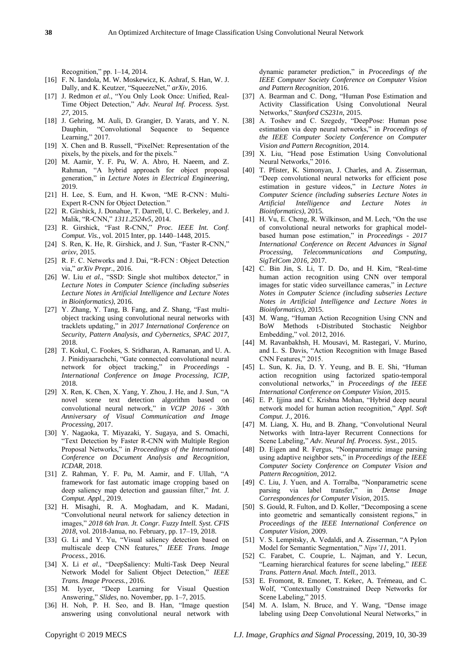Recognition," pp. 1–14, 2014.

- [16] F. N. Iandola, M. W. Moskewicz, K. Ashraf, S. Han, W. J. Dally, and K. Keutzer, "SqueezeNet," *arXiv*, 2016.
- [17] J. Redmon *et al.*, "You Only Look Once: Unified, Real-Time Object Detection," *Adv. Neural Inf. Process. Syst. 27*, 2015.
- [18] J. Gehring, M. Auli, D. Grangier, D. Yarats, and Y. N. Dauphin, "Convolutional Sequence to Sequence Learning,"  $2017$ .
- [19] X. Chen and B. Russell, "PixelNet: Representation of the pixels, by the pixels, and for the pixels."
- [20] M. Aamir, Y. F. Pu, W. A. Abro, H. Naeem, and Z. Rahman, "A hybrid approach for object proposal generation," in *Lecture Notes in Electrical Engineering*, 2019.
- [21] H. Lee, S. Eum, and H. Kwon, "ME R-CNN: Multi-Expert R-CNN for Object Detection."
- [22] R. Girshick, J. Donahue, T. Darrell, U. C. Berkeley, and J. Malik, "R-CNN," *1311.2524v5*, 2014.
- [23] R. Girshick, "Fast R-CNN," *Proc. IEEE Int. Conf. Comput. Vis.*, vol. 2015 Inter, pp. 1440–1448, 2015.
- [24] S. Ren, K. He, R. Girshick, and J. Sun, "Faster R-CNN," *arixv*, 2015.
- [25] R. F. C. Networks and J. Dai, "R-FCN : Object Detection via," *arXiv Prepr.*, 2016.
- [26] W. Liu et al., "SSD: Single shot multibox detector," in *Lecture Notes in Computer Science (including subseries Lecture Notes in Artificial Intelligence and Lecture Notes in Bioinformatics)*, 2016.
- [27] Y. Zhang, Y. Tang, B. Fang, and Z. Shang, "Fast multiobject tracking using convolutional neural networks with tracklets updating," in *2017 International Conference on Security, Pattern Analysis, and Cybernetics, SPAC 2017*, 2018.
- [28] T. Kokul, C. Fookes, S. Sridharan, A. Ramanan, and U. A. J. Pinidiyaarachchi, "Gate connected convolutional neural network for object tracking," in *Proceedings - International Conference on Image Processing, ICIP*, 2018.
- [29] X. Ren, K. Chen, X. Yang, Y. Zhou, J. He, and J. Sun, "A novel scene text detection algorithm based on convolutional neural network," in *VCIP 2016 - 30th Anniversary of Visual Communication and Image Processing*, 2017.
- [30] Y. Nagaoka, T. Miyazaki, Y. Sugaya, and S. Omachi, "Text Detection by Faster R-CNN with Multiple Region Proposal Networks," in *Proceedings of the International Conference on Document Analysis and Recognition, ICDAR*, 2018.
- [31] Z. Rahman, Y. F. Pu, M. Aamir, and F. Ullah, "A framework for fast automatic image cropping based on deep saliency map detection and gaussian filter," *Int. J. Comput. Appl.*, 2019.
- [32] H. Misaghi, R. A. Moghadam, and K. Madani, "Convolutional neural network for saliency detection in images," *2018 6th Iran. Jt. Congr. Fuzzy Intell. Syst. CFIS 2018*, vol. 2018-Janua, no. February, pp. 17–19, 2018.
- [33] G. Li and Y. Yu, "Visual saliency detection based on multiscale deep CNN features," *IEEE Trans. Image Process.*, 2016.
- [34] X. Li *et al.*, "DeepSaliency: Multi-Task Deep Neural Network Model for Salient Object Detection," *IEEE Trans. Image Process.*, 2016.
- [35] M. Iyyer, "Deep Learning for Visual Question Answering," *Slides*, no. November, pp. 1–7, 2015.
- [36] H. Noh, P. H. Seo, and B. Han, "Image question answering using convolutional neural network with

dynamic parameter prediction," in *Proceedings of the IEEE Computer Society Conference on Computer Vision and Pattern Recognition*, 2016.

- [37] A. Bearman and C. Dong, "Human Pose Estimation and Activity Classification Using Convolutional Neural Networks," *Stanford CS231n*, 2015.
- [38] A. Toshev and C. Szegedy, "DeepPose: Human pose estimation via deep neural networks," in *Proceedings of the IEEE Computer Society Conference on Computer Vision and Pattern Recognition*, 2014.
- [39] X. Liu, "Head pose Estimation Using Convolutional Neural Networks," 2016.
- [40] T. Pfister, K. Simonyan, J. Charles, and A. Zisserman, "Deep convolutional neural networks for efficient pose estimation in gesture videos," in *Lecture Notes in Computer Science (including subseries Lecture Notes in Artificial Intelligence and Lecture Notes in Bioinformatics)*, 2015.
- [41] H. Vu, E. Cheng, R. Wilkinson, and M. Lech, "On the use of convolutional neural networks for graphical modelbased human pose estimation," in *Proceedings - 2017 International Conference on Recent Advances in Signal Processing, Telecommunications and Computing, SigTelCom 2016*, 2017.
- [42] C. Bin Jin, S. Li, T. D. Do, and H. Kim, "Real-time human action recognition using CNN over temporal images for static video surveillance cameras," in *Lecture Notes in Computer Science (including subseries Lecture Notes in Artificial Intelligence and Lecture Notes in Bioinformatics)*, 2015.
- [43] M. Wang, "Human Action Recognition Using CNN and BoW Methods t-Distributed Stochastic Neighbor Embedding," vol. 2012, 2016.
- [44] M. Ravanbakhsh, H. Mousavi, M. Rastegari, V. Murino, and L. S. Davis, "Action Recognition with Image Based CNN Features," 2015.
- [45] L. Sun, K. Jia, D. Y. Yeung, and B. E. Shi, "Human action recognition using factorized spatio-temporal convolutional networks," in *Proceedings of the IEEE International Conference on Computer Vision*, 2015.
- [46] E. P. Ijjina and C. Krishna Mohan, "Hybrid deep neural network model for human action recognition," *Appl. Soft Comput. J.*, 2016.
- [47] M. Liang, X. Hu, and B. Zhang, "Convolutional Neural Networks with Intra-layer Recurrent Connections for Scene Labeling," *Adv. Neural Inf. Process. Syst.*, 2015.
- [48] D. Eigen and R. Fergus, "Nonparametric image parsing using adaptive neighbor sets," in *Proceedings of the IEEE Computer Society Conference on Computer Vision and Pattern Recognition*, 2012.
- [49] C. Liu, J. Yuen, and A. Torralba, "Nonparametric scene parsing via label transfer," in *Dense Image Correspondences for Computer Vision*, 2015.
- [50] S. Gould, R. Fulton, and D. Koller, "Decomposing a scene into geometric and semantically consistent regions," in *Proceedings of the IEEE International Conference on Computer Vision*, 2009.
- [51] V. S. Lempitsky, A. Vedaldi, and A. Zisserman, "A Pylon Model for Semantic Segmentation," *Nips'11*, 2011.
- [52] C. Farabet, C. Couprie, L. Najman, and Y. Lecun, "Learning hierarchical features for scene labeling," *IEEE Trans. Pattern Anal. Mach. Intell.*, 2013.
- [53] E. Fromont, R. Emonet, T. Kekec, A. Trémeau, and C. Wolf, "Contextually Constrained Deep Networks for Scene Labeling," 2015.
- [54] M. A. Islam, N. Bruce, and Y. Wang, "Dense image labeling using Deep Convolutional Neural Networks," in